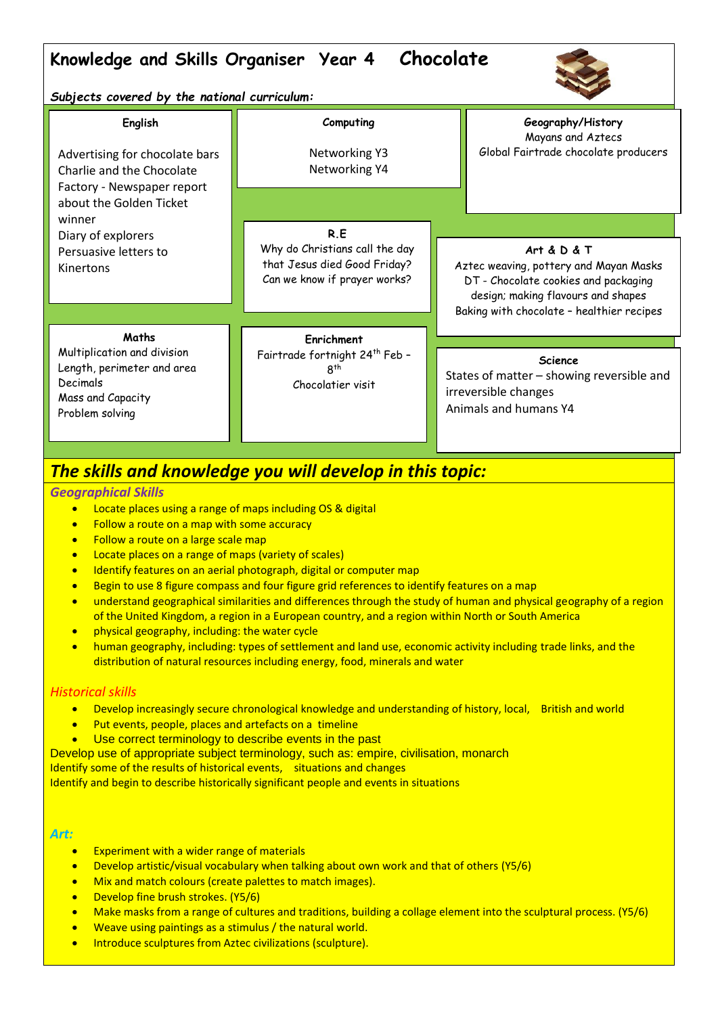# **Knowledge and Skills Organiser Year 4 Chocolate**



*Subjects covered by the national curriculum:*

| English<br>Advertising for chocolate bars<br>Charlie and the Chocolate<br>Factory - Newspaper report<br>about the Golden Ticket | Computing<br>Networking Y3<br>Networking Y4                                                    | Geography/History<br>Mayans and Aztecs<br>Global Fairtrade chocolate producers                                                                                                       |
|---------------------------------------------------------------------------------------------------------------------------------|------------------------------------------------------------------------------------------------|--------------------------------------------------------------------------------------------------------------------------------------------------------------------------------------|
| winner<br>Diary of explorers                                                                                                    | R.E                                                                                            |                                                                                                                                                                                      |
| Persuasive letters to<br>Kinertons                                                                                              | Why do Christians call the day<br>that Jesus died Good Friday?<br>Can we know if prayer works? | Art & $D$ & $T$<br>Aztec weaving, pottery and Mayan Masks<br>DT - Chocolate cookies and packaging<br>design; making flavours and shapes<br>Baking with chocolate - healthier recipes |
| Maths                                                                                                                           | Enrichment                                                                                     |                                                                                                                                                                                      |
| Multiplication and division<br>Length, perimeter and area<br>Decimals<br>Mass and Capacity<br>Problem solving                   | Fairtrade fortnight 24 <sup>th</sup> Feb -<br>8 <sup>th</sup><br>Chocolatier visit             | <b>Science</b><br>States of matter - showing reversible and<br>irreversible changes<br>Animals and humans Y4                                                                         |

## *The skills and knowledge you will develop in this topic:*

## *Geographical Skills*

- **•** Locate places using a range of maps including OS & digital
- Follow a route on a map with some accuracy
- Follow a route on a large scale map
- **•** Locate places on a range of maps (variety of scales)
- **•** Identify features on an aerial photograph, digital or computer map
- **Begin to use 8 figure compass and four figure grid references to identify features on a map**
- understand geographical similarities and differences through the study of human and physical geography of a region of the United Kingdom, a region in a European country, and a region within North or South America
- **•** physical geography, including: the water cycle
- human geography, including: types of settlement and land use, economic activity including trade links, and the distribution of natural resources including energy, food, minerals and water

## *Historical skills*

- Develop increasingly secure chronological knowledge and understanding of history, local, British and world
- Put events, people, places and artefacts on a timeline
- **Use correct terminology to describe events in the past**
- Develop use of appropriate subject terminology, such as: empire, civilisation, monarch

Identify some of the results of historical events, situations and changes

Identify and begin to describe historically significant people and events in situations

#### *Art:*

- Experiment with a wider range of materials
- Develop artistic/visual vocabulary when talking about own work and that of others (Y5/6)
- Mix and match colours (create palettes to match images).
- Develop fine brush strokes. (Y5/6)
- Make masks from a range of cultures and traditions, building a collage element into the sculptural process. (Y5/6)
- **•** Weave using paintings as a stimulus / the natural world.
- **•** Introduce sculptures from Aztec civilizations (sculpture).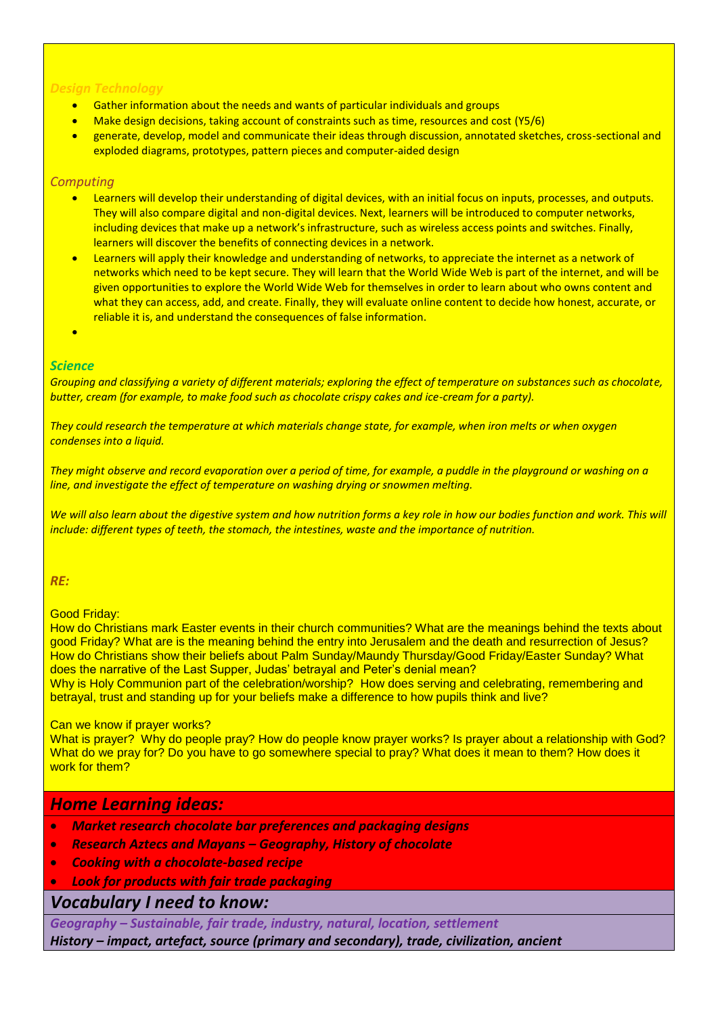### *Design Technology*

- Gather information about the needs and wants of particular individuals and groups
- Make design decisions, taking account of constraints such as time, resources and cost (Y5/6)
- generate, develop, model and communicate their ideas through discussion, annotated sketches, cross-sectional and exploded diagrams, prototypes, pattern pieces and computer-aided design

## *Computing*

- Learners will develop their understanding of digital devices, with an initial focus on inputs, processes, and outputs. They will also compare digital and non-digital devices. Next, learners will be introduced to computer networks, including devices that make up a network's infrastructure, such as wireless access points and switches. Finally, learners will discover the benefits of connecting devices in a network.
- Learners will apply their knowledge and understanding of networks, to appreciate the internet as a network of networks which need to be kept secure. They will learn that the World Wide Web is part of the internet, and will be given opportunities to explore the World Wide Web for themselves in order to learn about who owns content and what they can access, add, and create. Finally, they will evaluate online content to decide how honest, accurate, or reliable it is, and understand the consequences of false information.
- ×

## *Science*

*Grouping and classifying a variety of different materials; exploring the effect of temperature on substances such as chocolate, butter, cream (for example, to make food such as chocolate crispy cakes and ice-cream for a party).* 

*They could research the temperature at which materials change state, for example, when iron melts or when oxygen condenses into a liquid.* 

*They might observe and record evaporation over a period of time, for example, a puddle in the playground or washing on a line, and investigate the effect of temperature on washing drying or snowmen melting.*

We will also learn about the digestive system and how nutrition forms a key role in how our bodies function and work. This will *include: different types of teeth, the stomach, the intestines, waste and the importance of nutrition.*

## *RE:*

### Good Friday:

How do Christians mark Easter events in their church communities? What are the meanings behind the texts about good Friday? What are is the meaning behind the entry into Jerusalem and the death and resurrection of Jesus? How do Christians show their beliefs about Palm Sunday/Maundy Thursday/Good Friday/Easter Sunday? What does the narrative of the Last Supper, Judas' betrayal and Peter's denial mean?

Why is Holy Communion part of the celebration/worship? How does serving and celebrating, remembering and betrayal, trust and standing up for your beliefs make a difference to how pupils think and live?

#### Can we know if prayer works?

What is prayer? Why do people pray? How do people know prayer works? Is prayer about a relationship with God? What do we pray for? Do you have to go somewhere special to pray? What does it mean to them? How does it work for them?

## *Home Learning ideas:*

- *Market research chocolate bar preferences and packaging designs*
- *Research Aztecs and Mayans – Geography, History of chocolate*
- *Cooking with a chocolate-based recipe*
- *Look for products with fair trade packaging*

## *Vocabulary I need to know:*

*Geography – Sustainable, fair trade, industry, natural, location, settlement*

*History – impact, artefact, source (primary and secondary), trade, civilization, ancient*